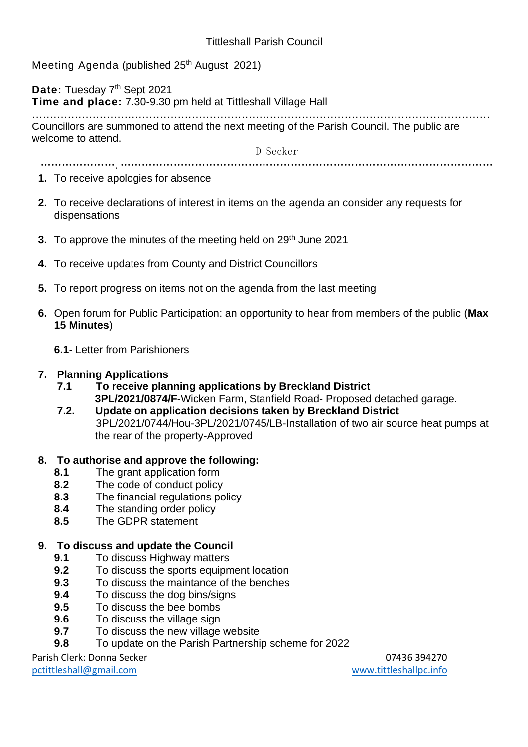Meeting Agenda (published 25<sup>th</sup> August 2021)

Date: Tuesday 7<sup>th</sup> Sept 2021

**Time and place:** 7.30-9.30 pm held at Tittleshall Village Hall

………………………………………………………………………………………………………………… Councillors are summoned to attend the next meeting of the Parish Council. The public are welcome to attend.

D Secker

………………….……………………………………………………………………………………………

**1.** To receive apologies for absence

- **2.** To receive declarations of interest in items on the agenda an consider any requests for dispensations
- **3.** To approve the minutes of the meeting held on 29<sup>th</sup> June 2021
- **4.** To receive updates from County and District Councillors
- **5.** To report progress on items not on the agenda from the last meeting
- **6.** Open forum for Public Participation: an opportunity to hear from members of the public (**Max 15 Minutes**)

**6.1**- Letter from Parishioners

### **7. Planning Applications**

- **7.1 To receive planning applications by Breckland District 3PL/2021/0874/F-**Wicken Farm, Stanfield Road- Proposed detached garage.
- **7.2. Update on application decisions taken by Breckland District** 3PL/2021/0744/Hou-3PL/2021/0745/LB-Installation of two air source heat pumps at the rear of the property-Approved

## **8. To authorise and approve the following:**

- **8.1** The grant application form
- **8.2** The code of conduct policy
- **8.3** The financial regulations policy
- **8.4** The standing order policy
- **8.5** The GDPR statement

## **9. To discuss and update the Council**

- **9.1** To discuss Highway matters
- **9.2** To discuss the sports equipment location
- **9.3** To discuss the maintance of the benches
- **9.4** To discuss the dog bins/signs
- **9.5** To discuss the bee bombs
- **9.6** To discuss the village sign
- **9.7** To discuss the new village website
- **9.8** To update on the Parish Partnership scheme for 2022

Parish Clerk: Donna Secker 07436 394270

[pctittleshall@gmail.com](mailto:pctittleshall@gmail.com) [www.tittleshallpc.info](http://www.tittleshallpc.info/)